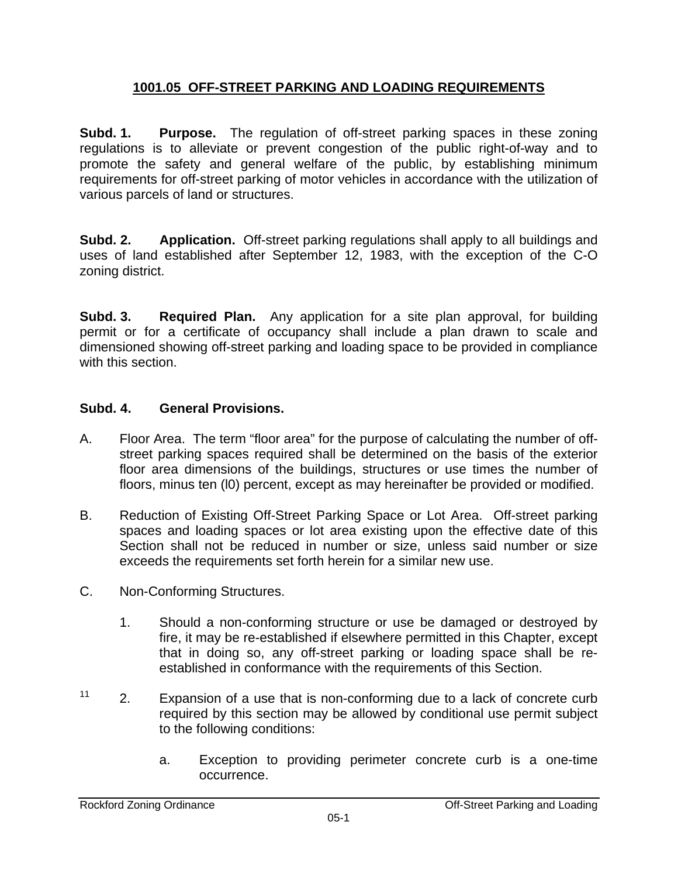## **1001.05 OFF-STREET PARKING AND LOADING REQUIREMENTS**

**Subd. 1. Purpose.** The regulation of off-street parking spaces in these zoning regulations is to alleviate or prevent congestion of the public right-of-way and to promote the safety and general welfare of the public, by establishing minimum requirements for off-street parking of motor vehicles in accordance with the utilization of various parcels of land or structures.

**Subd. 2. Application.** Off-street parking regulations shall apply to all buildings and uses of land established after September 12, 1983, with the exception of the C-O zoning district.

**Subd. 3. Required Plan.** Any application for a site plan approval, for building permit or for a certificate of occupancy shall include a plan drawn to scale and dimensioned showing off-street parking and loading space to be provided in compliance with this section.

## **Subd. 4. General Provisions.**

- A. Floor Area. The term "floor area" for the purpose of calculating the number of offstreet parking spaces required shall be determined on the basis of the exterior floor area dimensions of the buildings, structures or use times the number of floors, minus ten (l0) percent, except as may hereinafter be provided or modified.
- B. Reduction of Existing Off-Street Parking Space or Lot Area. Off-street parking spaces and loading spaces or lot area existing upon the effective date of this Section shall not be reduced in number or size, unless said number or size exceeds the requirements set forth herein for a similar new use.
- C. Non-Conforming Structures.
	- 1. Should a non-conforming structure or use be damaged or destroyed by fire, it may be re-established if elsewhere permitted in this Chapter, except that in doing so, any off-street parking or loading space shall be reestablished in conformance with the requirements of this Section.
- $11$  2. Expansion of a use that is non-conforming due to a lack of concrete curb required by this section may be allowed by conditional use permit subject to the following conditions:
	- a. Exception to providing perimeter concrete curb is a one-time occurrence.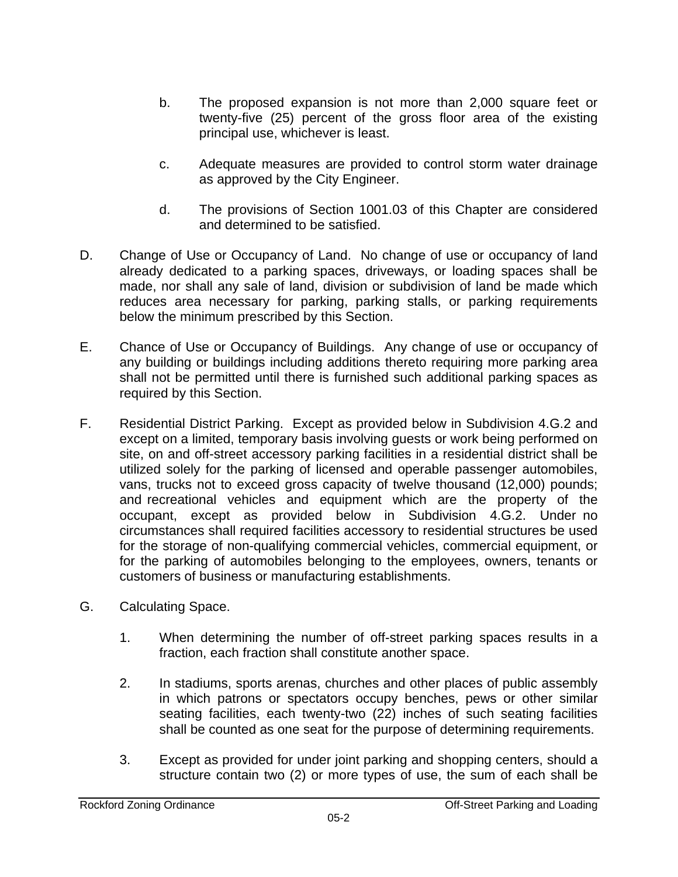- b. The proposed expansion is not more than 2,000 square feet or twenty-five (25) percent of the gross floor area of the existing principal use, whichever is least.
- c. Adequate measures are provided to control storm water drainage as approved by the City Engineer.
- d. The provisions of Section 1001.03 of this Chapter are considered and determined to be satisfied.
- D. Change of Use or Occupancy of Land. No change of use or occupancy of land already dedicated to a parking spaces, driveways, or loading spaces shall be made, nor shall any sale of land, division or subdivision of land be made which reduces area necessary for parking, parking stalls, or parking requirements below the minimum prescribed by this Section.
- E. Chance of Use or Occupancy of Buildings. Any change of use or occupancy of any building or buildings including additions thereto requiring more parking area shall not be permitted until there is furnished such additional parking spaces as required by this Section.
- F. Residential District Parking. Except as provided below in Subdivision 4.G.2 and except on a limited, temporary basis involving guests or work being performed on site, on and off-street accessory parking facilities in a residential district shall be utilized solely for the parking of licensed and operable passenger automobiles, vans, trucks not to exceed gross capacity of twelve thousand (12,000) pounds; and recreational vehicles and equipment which are the property of the occupant, except as provided below in Subdivision 4.G.2. Under no circumstances shall required facilities accessory to residential structures be used for the storage of non-qualifying commercial vehicles, commercial equipment, or for the parking of automobiles belonging to the employees, owners, tenants or customers of business or manufacturing establishments.
- G. Calculating Space.
	- 1. When determining the number of off-street parking spaces results in a fraction, each fraction shall constitute another space.
	- 2. In stadiums, sports arenas, churches and other places of public assembly in which patrons or spectators occupy benches, pews or other similar seating facilities, each twenty-two (22) inches of such seating facilities shall be counted as one seat for the purpose of determining requirements.
	- 3. Except as provided for under joint parking and shopping centers, should a structure contain two (2) or more types of use, the sum of each shall be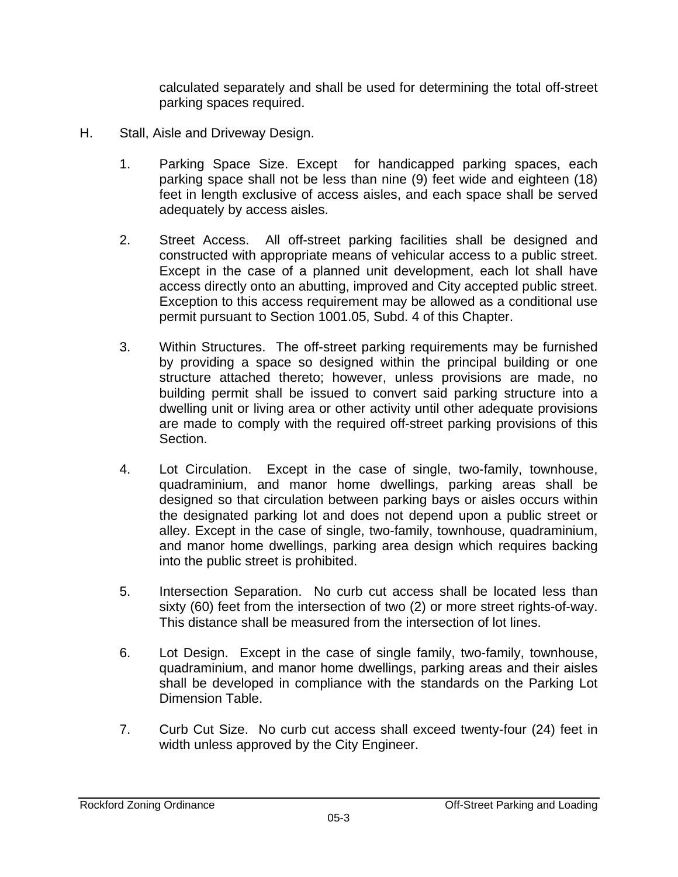calculated separately and shall be used for determining the total off-street parking spaces required.

- H. Stall, Aisle and Driveway Design.
	- 1. Parking Space Size. Except for handicapped parking spaces, each parking space shall not be less than nine (9) feet wide and eighteen (18) feet in length exclusive of access aisles, and each space shall be served adequately by access aisles.
	- 2. Street Access. All off-street parking facilities shall be designed and constructed with appropriate means of vehicular access to a public street. Except in the case of a planned unit development, each lot shall have access directly onto an abutting, improved and City accepted public street. Exception to this access requirement may be allowed as a conditional use permit pursuant to Section 1001.05, Subd. 4 of this Chapter.
	- 3. Within Structures. The off-street parking requirements may be furnished by providing a space so designed within the principal building or one structure attached thereto; however, unless provisions are made, no building permit shall be issued to convert said parking structure into a dwelling unit or living area or other activity until other adequate provisions are made to comply with the required off-street parking provisions of this Section.
	- 4. Lot Circulation. Except in the case of single, two-family, townhouse, quadraminium, and manor home dwellings, parking areas shall be designed so that circulation between parking bays or aisles occurs within the designated parking lot and does not depend upon a public street or alley. Except in the case of single, two-family, townhouse, quadraminium, and manor home dwellings, parking area design which requires backing into the public street is prohibited.
	- 5. Intersection Separation. No curb cut access shall be located less than sixty (60) feet from the intersection of two (2) or more street rights-of-way. This distance shall be measured from the intersection of lot lines.
	- 6. Lot Design. Except in the case of single family, two-family, townhouse, quadraminium, and manor home dwellings, parking areas and their aisles shall be developed in compliance with the standards on the Parking Lot Dimension Table.
	- 7. Curb Cut Size. No curb cut access shall exceed twenty-four (24) feet in width unless approved by the City Engineer.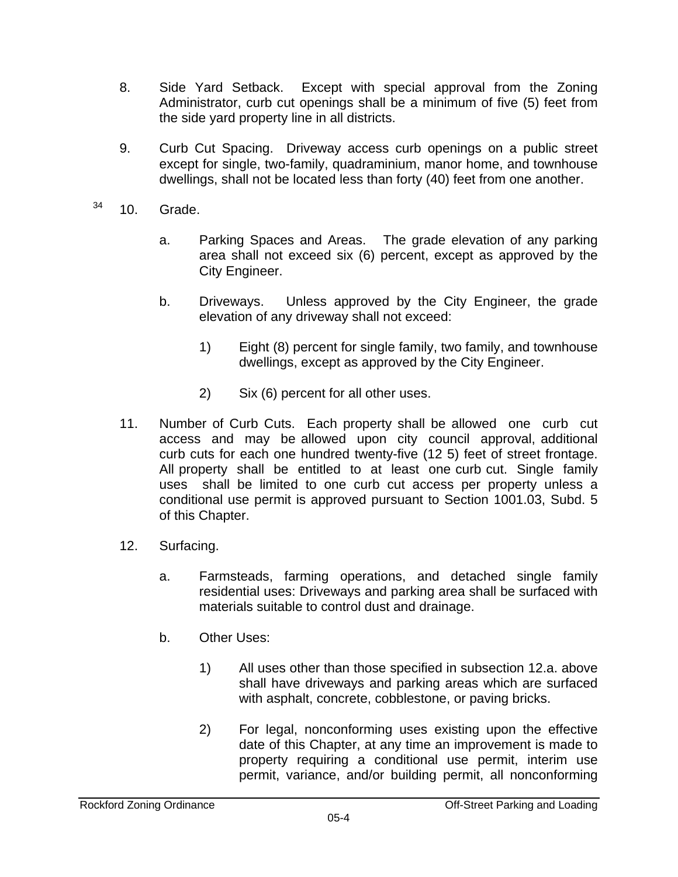- 8. Side Yard Setback. Except with special approval from the Zoning Administrator, curb cut openings shall be a minimum of five (5) feet from the side yard property line in all districts.
- 9. Curb Cut Spacing. Driveway access curb openings on a public street except for single, two-family, quadraminium, manor home, and townhouse dwellings, shall not be located less than forty (40) feet from one another.
- $34$  10. Grade.
	- a. Parking Spaces and Areas. The grade elevation of any parking area shall not exceed six (6) percent, except as approved by the City Engineer.
	- b. Driveways. Unless approved by the City Engineer, the grade elevation of any driveway shall not exceed:
		- 1) Eight (8) percent for single family, two family, and townhouse dwellings, except as approved by the City Engineer.
		- 2) Six (6) percent for all other uses.
	- 11. Number of Curb Cuts. Each property shall be allowed one curb cut access and may be allowed upon city council approval, additional curb cuts for each one hundred twenty-five (12 5) feet of street frontage. All property shall be entitled to at least one curb cut. Single family uses shall be limited to one curb cut access per property unless a conditional use permit is approved pursuant to Section 1001.03, Subd. 5 of this Chapter.
	- 12. Surfacing.
		- a. Farmsteads, farming operations, and detached single family residential uses: Driveways and parking area shall be surfaced with materials suitable to control dust and drainage.
		- b. Other Uses:
			- 1) All uses other than those specified in subsection 12.a. above shall have driveways and parking areas which are surfaced with asphalt, concrete, cobblestone, or paving bricks.
			- 2) For legal, nonconforming uses existing upon the effective date of this Chapter, at any time an improvement is made to property requiring a conditional use permit, interim use permit, variance, and/or building permit, all nonconforming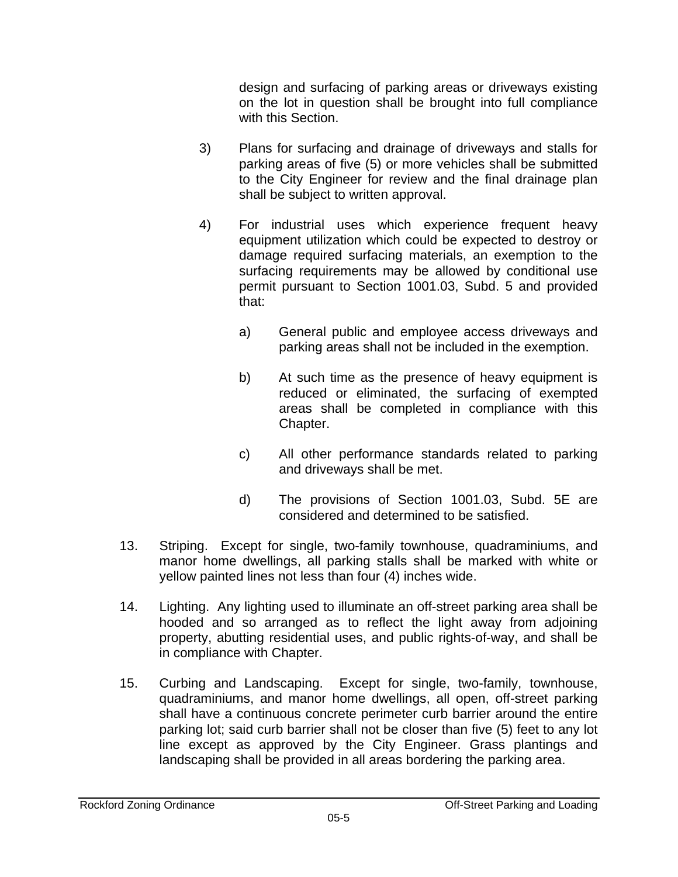design and surfacing of parking areas or driveways existing on the lot in question shall be brought into full compliance with this Section.

- 3) Plans for surfacing and drainage of driveways and stalls for parking areas of five (5) or more vehicles shall be submitted to the City Engineer for review and the final drainage plan shall be subject to written approval.
- 4) For industrial uses which experience frequent heavy equipment utilization which could be expected to destroy or damage required surfacing materials, an exemption to the surfacing requirements may be allowed by conditional use permit pursuant to Section 1001.03, Subd. 5 and provided that:
	- a) General public and employee access driveways and parking areas shall not be included in the exemption.
	- b) At such time as the presence of heavy equipment is reduced or eliminated, the surfacing of exempted areas shall be completed in compliance with this Chapter.
	- c) All other performance standards related to parking and driveways shall be met.
	- d) The provisions of Section 1001.03, Subd. 5E are considered and determined to be satisfied.
- 13. Striping. Except for single, two-family townhouse, quadraminiums, and manor home dwellings, all parking stalls shall be marked with white or yellow painted lines not less than four (4) inches wide.
- 14. Lighting. Any lighting used to illuminate an off-street parking area shall be hooded and so arranged as to reflect the light away from adjoining property, abutting residential uses, and public rights-of-way, and shall be in compliance with Chapter.
- 15. Curbing and Landscaping. Except for single, two-family, townhouse, quadraminiums, and manor home dwellings, all open, off-street parking shall have a continuous concrete perimeter curb barrier around the entire parking lot; said curb barrier shall not be closer than five (5) feet to any lot line except as approved by the City Engineer. Grass plantings and landscaping shall be provided in all areas bordering the parking area.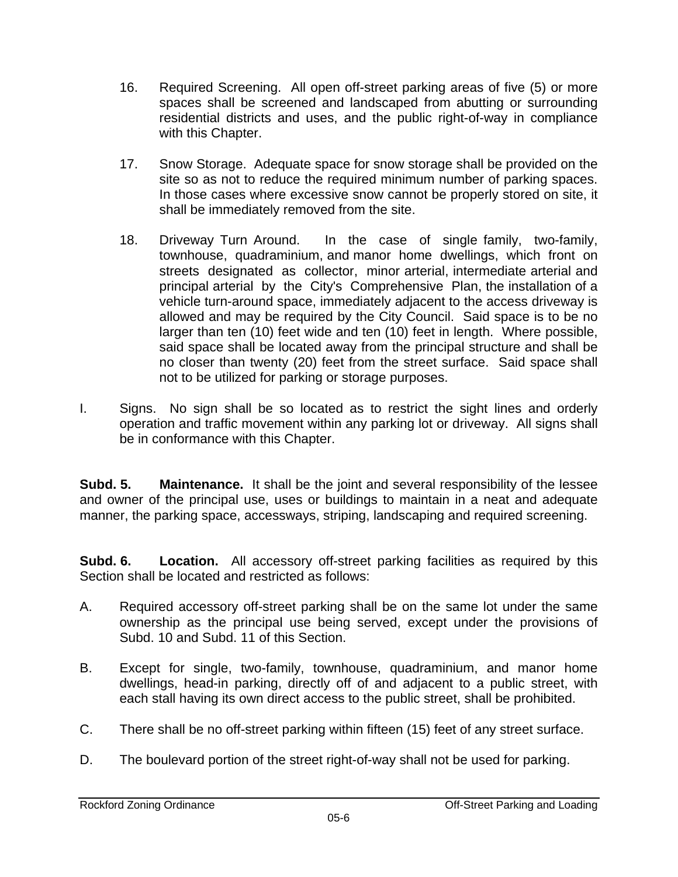- 16. Required Screening. All open off-street parking areas of five (5) or more spaces shall be screened and landscaped from abutting or surrounding residential districts and uses, and the public right-of-way in compliance with this Chapter.
- 17. Snow Storage. Adequate space for snow storage shall be provided on the site so as not to reduce the required minimum number of parking spaces. In those cases where excessive snow cannot be properly stored on site, it shall be immediately removed from the site.
- 18. Driveway Turn Around. In the case of single family, two-family, townhouse, quadraminium, and manor home dwellings, which front on streets designated as collector, minor arterial, intermediate arterial and principal arterial by the City's Comprehensive Plan, the installation of a vehicle turn-around space, immediately adjacent to the access driveway is allowed and may be required by the City Council. Said space is to be no larger than ten (10) feet wide and ten (10) feet in length. Where possible, said space shall be located away from the principal structure and shall be no closer than twenty (20) feet from the street surface. Said space shall not to be utilized for parking or storage purposes.
- I. Signs. No sign shall be so located as to restrict the sight lines and orderly operation and traffic movement within any parking lot or driveway. All signs shall be in conformance with this Chapter.

**Subd. 5. Maintenance.** It shall be the joint and several responsibility of the lessee and owner of the principal use, uses or buildings to maintain in a neat and adequate manner, the parking space, accessways, striping, landscaping and required screening.

**Subd. 6.** Location. All accessory off-street parking facilities as required by this Section shall be located and restricted as follows:

- A. Required accessory off-street parking shall be on the same lot under the same ownership as the principal use being served, except under the provisions of Subd. 10 and Subd. 11 of this Section.
- B. Except for single, two-family, townhouse, quadraminium, and manor home dwellings, head-in parking, directly off of and adjacent to a public street, with each stall having its own direct access to the public street, shall be prohibited.
- C. There shall be no off-street parking within fifteen (15) feet of any street surface.
- D. The boulevard portion of the street right-of-way shall not be used for parking.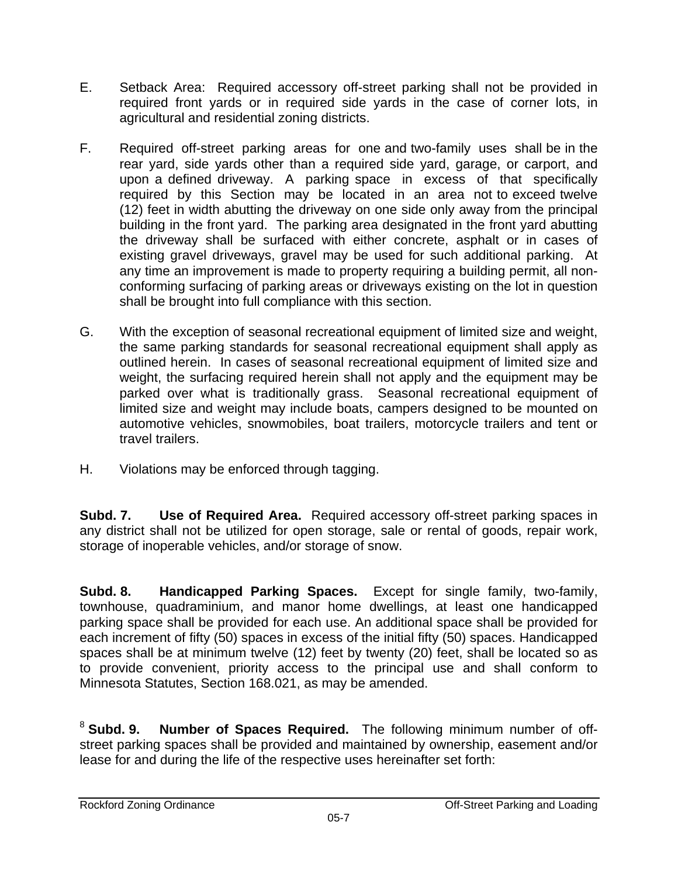- E. Setback Area: Required accessory off-street parking shall not be provided in required front yards or in required side yards in the case of corner lots, in agricultural and residential zoning districts.
- F. Required off-street parking areas for one and two-family uses shall be in the rear yard, side yards other than a required side yard, garage, or carport, and upon a defined driveway. A parking space in excess of that specifically required by this Section may be located in an area not to exceed twelve (12) feet in width abutting the driveway on one side only away from the principal building in the front yard. The parking area designated in the front yard abutting the driveway shall be surfaced with either concrete, asphalt or in cases of existing gravel driveways, gravel may be used for such additional parking. At any time an improvement is made to property requiring a building permit, all nonconforming surfacing of parking areas or driveways existing on the lot in question shall be brought into full compliance with this section.
- G. With the exception of seasonal recreational equipment of limited size and weight, the same parking standards for seasonal recreational equipment shall apply as outlined herein. In cases of seasonal recreational equipment of limited size and weight, the surfacing required herein shall not apply and the equipment may be parked over what is traditionally grass. Seasonal recreational equipment of limited size and weight may include boats, campers designed to be mounted on automotive vehicles, snowmobiles, boat trailers, motorcycle trailers and tent or travel trailers.
- H. Violations may be enforced through tagging.

**Subd. 7. Use of Required Area.** Required accessory off-street parking spaces in any district shall not be utilized for open storage, sale or rental of goods, repair work, storage of inoperable vehicles, and/or storage of snow.

**Subd. 8. Handicapped Parking Spaces.** Except for single family, two-family, townhouse, quadraminium, and manor home dwellings, at least one handicapped parking space shall be provided for each use. An additional space shall be provided for each increment of fifty (50) spaces in excess of the initial fifty (50) spaces. Handicapped spaces shall be at minimum twelve (12) feet by twenty (20) feet, shall be located so as to provide convenient, priority access to the principal use and shall conform to Minnesota Statutes, Section 168.021, as may be amended.

<sup>8</sup> **Subd. 9. Number of Spaces Required.** The following minimum number of offstreet parking spaces shall be provided and maintained by ownership, easement and/or lease for and during the life of the respective uses hereinafter set forth: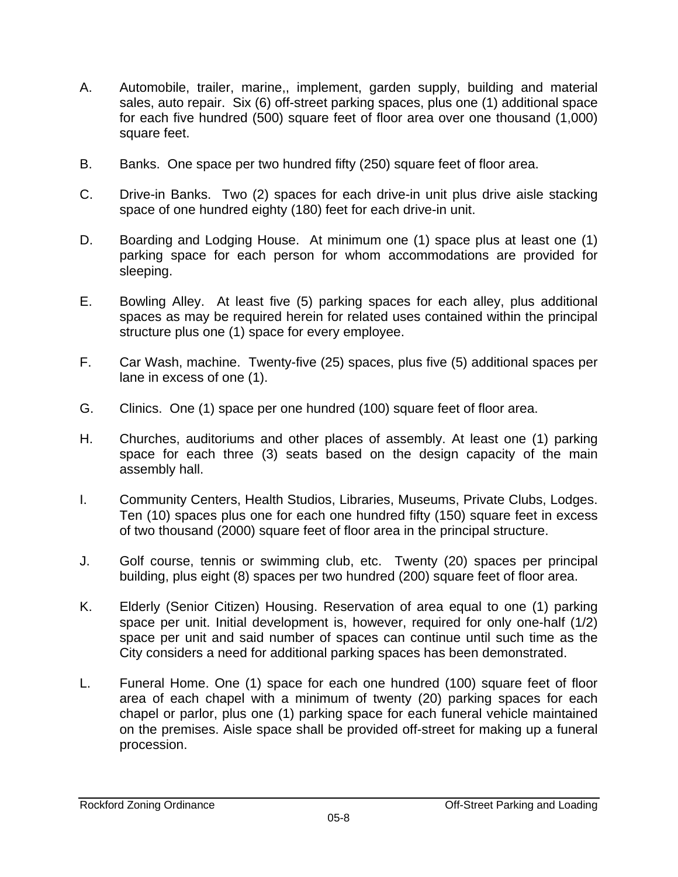- A. Automobile, trailer, marine,, implement, garden supply, building and material sales, auto repair. Six (6) off-street parking spaces, plus one (1) additional space for each five hundred (500) square feet of floor area over one thousand (1,000) square feet.
- B. Banks. One space per two hundred fifty (250) square feet of floor area.
- C. Drive-in Banks. Two (2) spaces for each drive-in unit plus drive aisle stacking space of one hundred eighty (180) feet for each drive-in unit.
- D. Boarding and Lodging House. At minimum one (1) space plus at least one (1) parking space for each person for whom accommodations are provided for sleeping.
- E. Bowling Alley. At least five (5) parking spaces for each alley, plus additional spaces as may be required herein for related uses contained within the principal structure plus one (1) space for every employee.
- F. Car Wash, machine. Twenty-five (25) spaces, plus five (5) additional spaces per lane in excess of one (1).
- G. Clinics. One (1) space per one hundred (100) square feet of floor area.
- H. Churches, auditoriums and other places of assembly. At least one (1) parking space for each three (3) seats based on the design capacity of the main assembly hall.
- I. Community Centers, Health Studios, Libraries, Museums, Private Clubs, Lodges. Ten (10) spaces plus one for each one hundred fifty (150) square feet in excess of two thousand (2000) square feet of floor area in the principal structure.
- J. Golf course, tennis or swimming club, etc. Twenty (20) spaces per principal building, plus eight (8) spaces per two hundred (200) square feet of floor area.
- K. Elderly (Senior Citizen) Housing. Reservation of area equal to one (1) parking space per unit. Initial development is, however, required for only one-half (1/2) space per unit and said number of spaces can continue until such time as the City considers a need for additional parking spaces has been demonstrated.
- L. Funeral Home. One (1) space for each one hundred (100) square feet of floor area of each chapel with a minimum of twenty (20) parking spaces for each chapel or parlor, plus one (1) parking space for each funeral vehicle maintained on the premises. Aisle space shall be provided off-street for making up a funeral procession.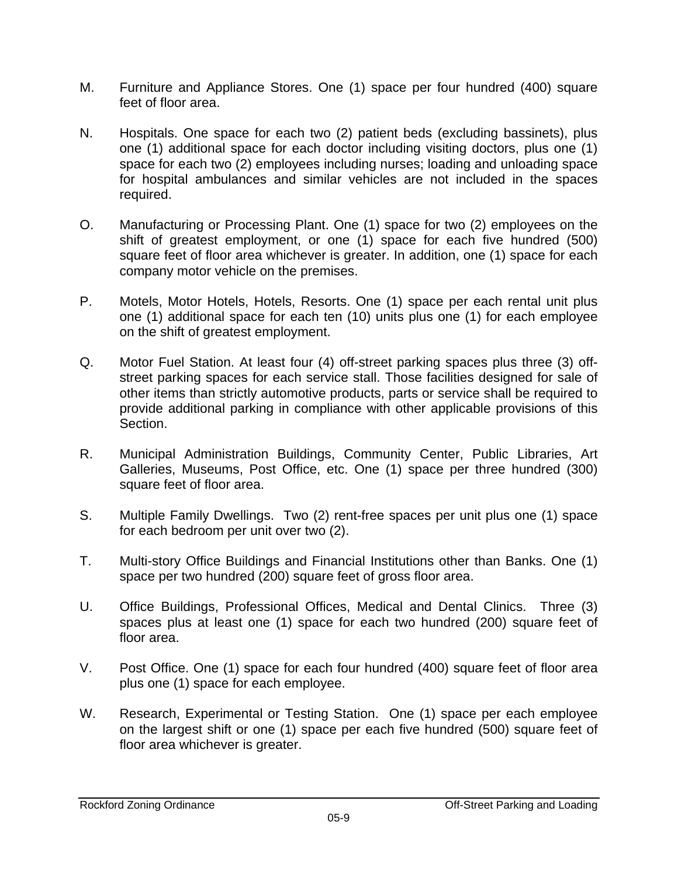- M. Furniture and Appliance Stores. One (1) space per four hundred (400) square feet of floor area.
- N. Hospitals. One space for each two (2) patient beds (excluding bassinets), plus one (1) additional space for each doctor including visiting doctors, plus one (1) space for each two (2) employees including nurses; loading and unloading space for hospital ambulances and similar vehicles are not included in the spaces required.
- O. Manufacturing or Processing Plant. One (1) space for two (2) employees on the shift of greatest employment, or one (1) space for each five hundred (500) square feet of floor area whichever is greater. In addition, one (1) space for each company motor vehicle on the premises.
- P. Motels, Motor Hotels, Hotels, Resorts. One (1) space per each rental unit plus one (1) additional space for each ten (10) units plus one (1) for each employee on the shift of greatest employment.
- Q. Motor Fuel Station. At least four (4) off-street parking spaces plus three (3) offstreet parking spaces for each service stall. Those facilities designed for sale of other items than strictly automotive products, parts or service shall be required to provide additional parking in compliance with other applicable provisions of this Section.
- R. Municipal Administration Buildings, Community Center, Public Libraries, Art Galleries, Museums, Post Office, etc. One (1) space per three hundred (300) square feet of floor area.
- S. Multiple Family Dwellings. Two (2) rent-free spaces per unit plus one (1) space for each bedroom per unit over two (2).
- T. Multi-story Office Buildings and Financial Institutions other than Banks. One (1) space per two hundred (200) square feet of gross floor area.
- U. Office Buildings, Professional Offices, Medical and Dental Clinics. Three (3) spaces plus at least one (1) space for each two hundred (200) square feet of floor area.
- V. Post Office. One (1) space for each four hundred (400) square feet of floor area plus one (1) space for each employee.
- W. Research, Experimental or Testing Station. One (1) space per each employee on the largest shift or one (1) space per each five hundred (500) square feet of floor area whichever is greater.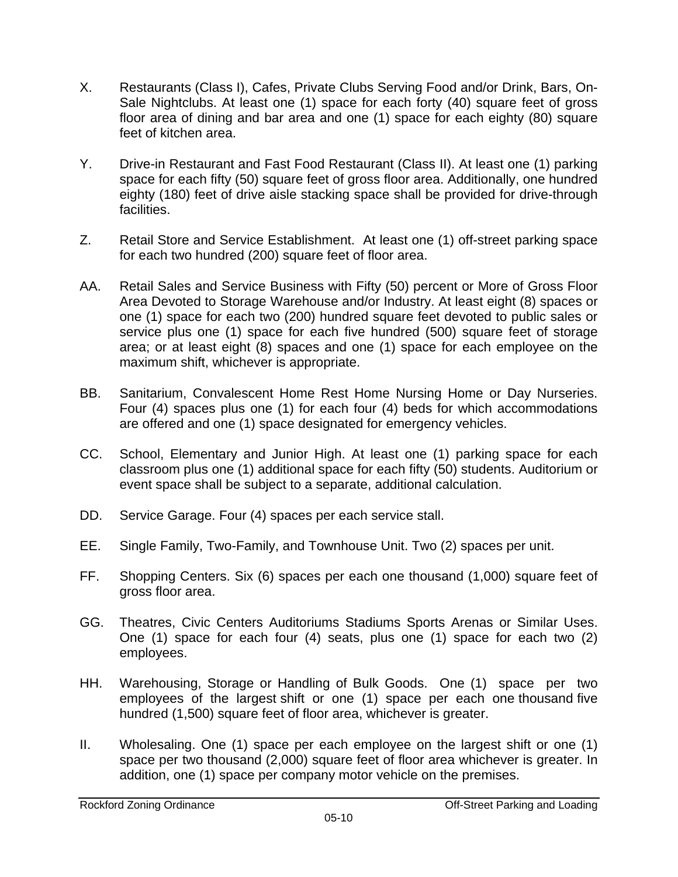- X. Restaurants (Class I), Cafes, Private Clubs Serving Food and/or Drink, Bars, On-Sale Nightclubs. At least one (1) space for each forty (40) square feet of gross floor area of dining and bar area and one (1) space for each eighty (80) square feet of kitchen area.
- Y. Drive-in Restaurant and Fast Food Restaurant (Class II). At least one (1) parking space for each fifty (50) square feet of gross floor area. Additionally, one hundred eighty (180) feet of drive aisle stacking space shall be provided for drive-through facilities.
- Z. Retail Store and Service Establishment. At least one (1) off-street parking space for each two hundred (200) square feet of floor area.
- AA. Retail Sales and Service Business with Fifty (50) percent or More of Gross Floor Area Devoted to Storage Warehouse and/or Industry. At least eight (8) spaces or one (1) space for each two (200) hundred square feet devoted to public sales or service plus one (1) space for each five hundred (500) square feet of storage area; or at least eight (8) spaces and one (1) space for each employee on the maximum shift, whichever is appropriate.
- BB. Sanitarium, Convalescent Home Rest Home Nursing Home or Day Nurseries. Four (4) spaces plus one (1) for each four (4) beds for which accommodations are offered and one (1) space designated for emergency vehicles.
- CC. School, Elementary and Junior High. At least one (1) parking space for each classroom plus one (1) additional space for each fifty (50) students. Auditorium or event space shall be subject to a separate, additional calculation.
- DD. Service Garage. Four (4) spaces per each service stall.
- EE. Single Family, Two-Family, and Townhouse Unit. Two (2) spaces per unit.
- FF. Shopping Centers. Six (6) spaces per each one thousand (1,000) square feet of gross floor area.
- GG. Theatres, Civic Centers Auditoriums Stadiums Sports Arenas or Similar Uses. One (1) space for each four (4) seats, plus one (1) space for each two (2) employees.
- HH. Warehousing, Storage or Handling of Bulk Goods. One (1) space per two employees of the largest shift or one (1) space per each one thousand five hundred (1,500) square feet of floor area, whichever is greater.
- II. Wholesaling. One (1) space per each employee on the largest shift or one (1) space per two thousand (2,000) square feet of floor area whichever is greater. In addition, one (1) space per company motor vehicle on the premises.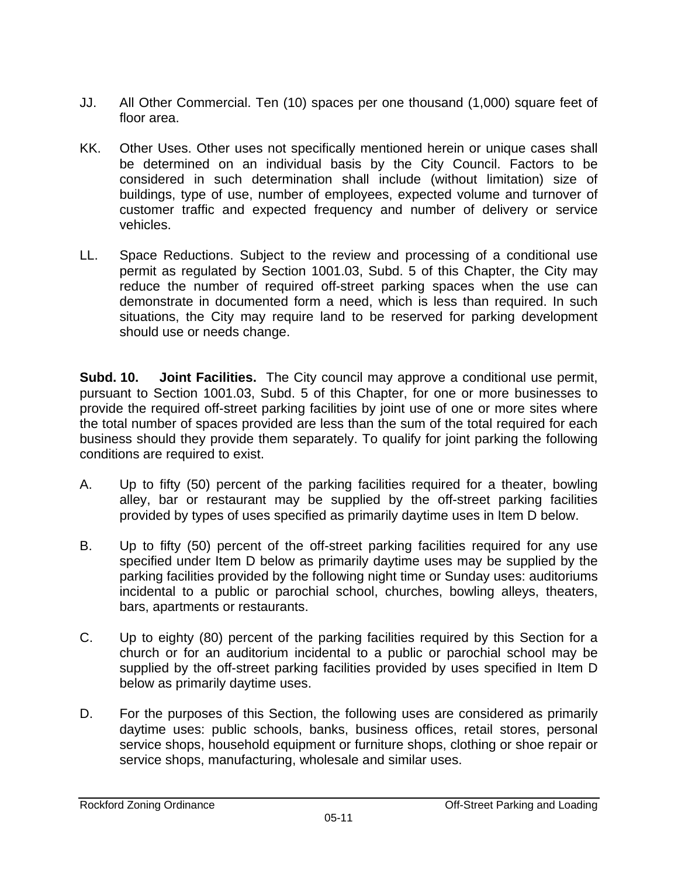- JJ. All Other Commercial. Ten (10) spaces per one thousand (1,000) square feet of floor area.
- KK. Other Uses. Other uses not specifically mentioned herein or unique cases shall be determined on an individual basis by the City Council. Factors to be considered in such determination shall include (without limitation) size of buildings, type of use, number of employees, expected volume and turnover of customer traffic and expected frequency and number of delivery or service vehicles.
- LL. Space Reductions. Subject to the review and processing of a conditional use permit as regulated by Section 1001.03, Subd. 5 of this Chapter, the City may reduce the number of required off-street parking spaces when the use can demonstrate in documented form a need, which is less than required. In such situations, the City may require land to be reserved for parking development should use or needs change.

**Subd. 10. Joint Facilities.** The City council may approve a conditional use permit, pursuant to Section 1001.03, Subd. 5 of this Chapter, for one or more businesses to provide the required off-street parking facilities by joint use of one or more sites where the total number of spaces provided are less than the sum of the total required for each business should they provide them separately. To qualify for joint parking the following conditions are required to exist.

- A. Up to fifty (50) percent of the parking facilities required for a theater, bowling alley, bar or restaurant may be supplied by the off-street parking facilities provided by types of uses specified as primarily daytime uses in Item D below.
- B. Up to fifty (50) percent of the off-street parking facilities required for any use specified under Item D below as primarily daytime uses may be supplied by the parking facilities provided by the following night time or Sunday uses: auditoriums incidental to a public or parochial school, churches, bowling alleys, theaters, bars, apartments or restaurants.
- C. Up to eighty (80) percent of the parking facilities required by this Section for a church or for an auditorium incidental to a public or parochial school may be supplied by the off-street parking facilities provided by uses specified in Item D below as primarily daytime uses.
- D. For the purposes of this Section, the following uses are considered as primarily daytime uses: public schools, banks, business offices, retail stores, personal service shops, household equipment or furniture shops, clothing or shoe repair or service shops, manufacturing, wholesale and similar uses.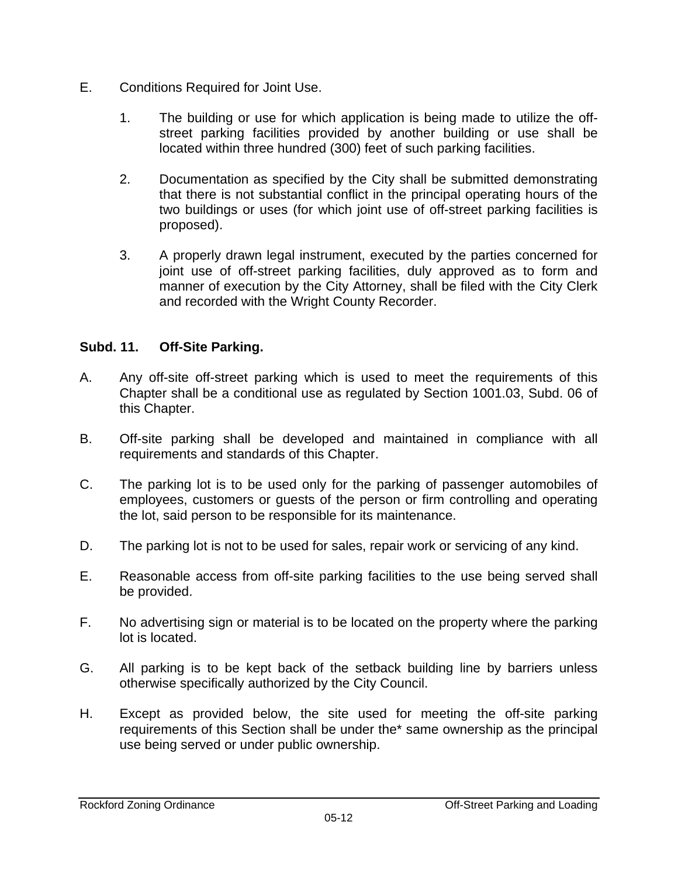- E. Conditions Required for Joint Use.
	- 1. The building or use for which application is being made to utilize the offstreet parking facilities provided by another building or use shall be located within three hundred (300) feet of such parking facilities.
	- 2. Documentation as specified by the City shall be submitted demonstrating that there is not substantial conflict in the principal operating hours of the two buildings or uses (for which joint use of off-street parking facilities is proposed).
	- 3. A properly drawn legal instrument, executed by the parties concerned for joint use of off-street parking facilities, duly approved as to form and manner of execution by the City Attorney, shall be filed with the City Clerk and recorded with the Wright County Recorder.

## **Subd. 11. Off-Site Parking.**

- A. Any off-site off-street parking which is used to meet the requirements of this Chapter shall be a conditional use as regulated by Section 1001.03, Subd. 06 of this Chapter.
- B. Off-site parking shall be developed and maintained in compliance with all requirements and standards of this Chapter.
- C. The parking lot is to be used only for the parking of passenger automobiles of employees, customers or guests of the person or firm controlling and operating the lot, said person to be responsible for its maintenance.
- D. The parking lot is not to be used for sales, repair work or servicing of any kind.
- E. Reasonable access from off-site parking facilities to the use being served shall be provided.
- F. No advertising sign or material is to be located on the property where the parking lot is located.
- G. All parking is to be kept back of the setback building line by barriers unless otherwise specifically authorized by the City Council.
- H. Except as provided below, the site used for meeting the off-site parking requirements of this Section shall be under the\* same ownership as the principal use being served or under public ownership.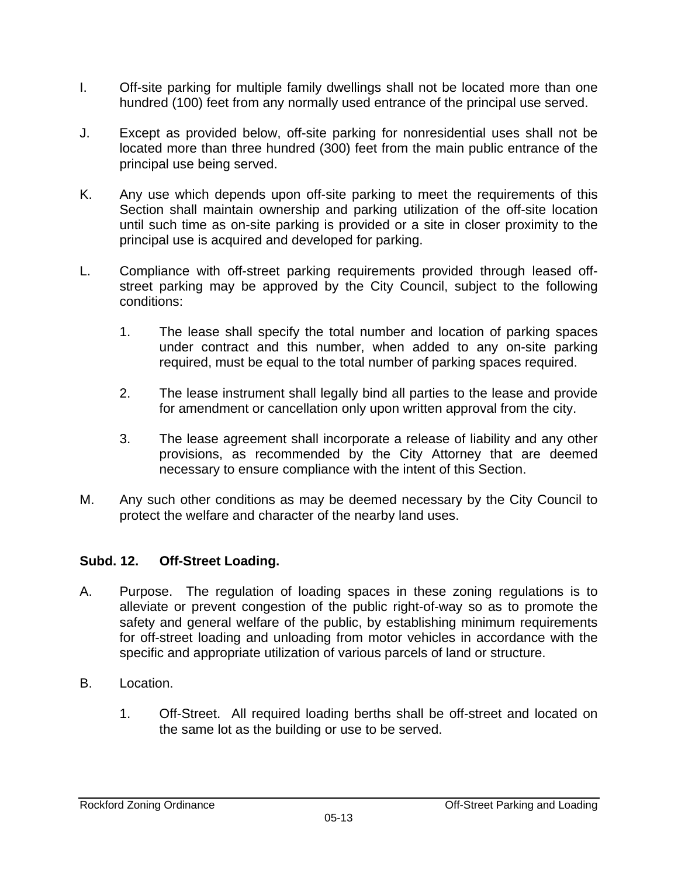- I. Off-site parking for multiple family dwellings shall not be located more than one hundred (100) feet from any normally used entrance of the principal use served.
- J. Except as provided below, off-site parking for nonresidential uses shall not be located more than three hundred (300) feet from the main public entrance of the principal use being served.
- K. Any use which depends upon off-site parking to meet the requirements of this Section shall maintain ownership and parking utilization of the off-site location until such time as on-site parking is provided or a site in closer proximity to the principal use is acquired and developed for parking.
- L. Compliance with off-street parking requirements provided through leased offstreet parking may be approved by the City Council, subject to the following conditions:
	- 1. The lease shall specify the total number and location of parking spaces under contract and this number, when added to any on-site parking required, must be equal to the total number of parking spaces required.
	- 2. The lease instrument shall legally bind all parties to the lease and provide for amendment or cancellation only upon written approval from the city.
	- 3. The lease agreement shall incorporate a release of liability and any other provisions, as recommended by the City Attorney that are deemed necessary to ensure compliance with the intent of this Section.
- M. Any such other conditions as may be deemed necessary by the City Council to protect the welfare and character of the nearby land uses.

## **Subd. 12. Off-Street Loading.**

- A. Purpose. The regulation of loading spaces in these zoning regulations is to alleviate or prevent congestion of the public right-of-way so as to promote the safety and general welfare of the public, by establishing minimum requirements for off-street loading and unloading from motor vehicles in accordance with the specific and appropriate utilization of various parcels of land or structure.
- B. Location.
	- 1. Off-Street. All required loading berths shall be off-street and located on the same lot as the building or use to be served.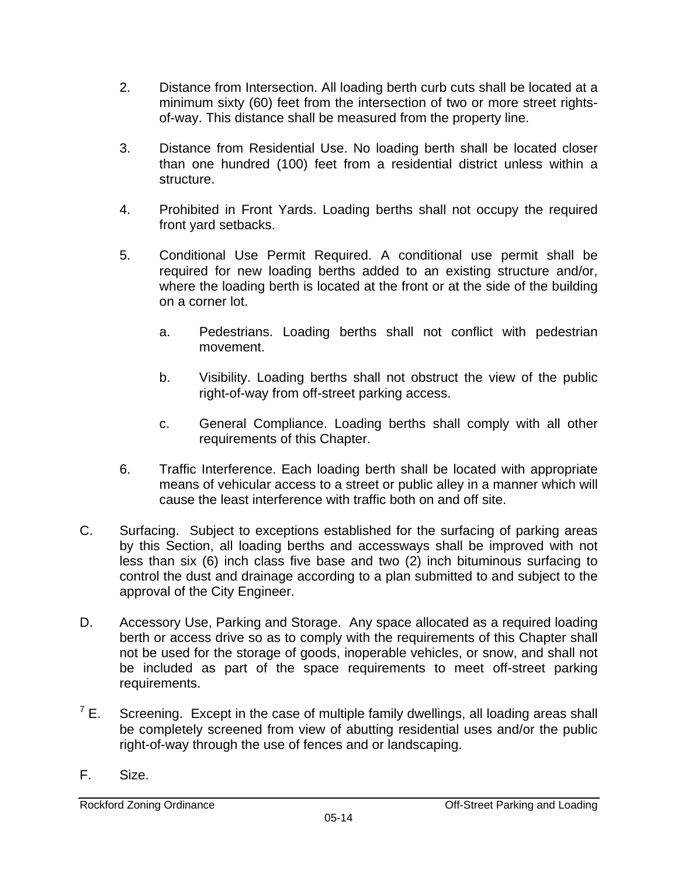- 2. Distance from Intersection. All loading berth curb cuts shall be located at a minimum sixty (60) feet from the intersection of two or more street rightsof-way. This distance shall be measured from the property line.
- 3. Distance from Residential Use. No loading berth shall be located closer than one hundred (100) feet from a residential district unless within a structure.
- 4. Prohibited in Front Yards. Loading berths shall not occupy the required front yard setbacks.
- 5. Conditional Use Permit Required. A conditional use permit shall be required for new loading berths added to an existing structure and/or, where the loading berth is located at the front or at the side of the building on a corner lot.
	- a. Pedestrians. Loading berths shall not conflict with pedestrian movement.
	- b. Visibility. Loading berths shall not obstruct the view of the public right-of-way from off-street parking access.
	- c. General Compliance. Loading berths shall comply with all other requirements of this Chapter.
- 6. Traffic Interference. Each loading berth shall be located with appropriate means of vehicular access to a street or public alley in a manner which will cause the least interference with traffic both on and off site.
- C. Surfacing. Subject to exceptions established for the surfacing of parking areas by this Section, all loading berths and accessways shall be improved with not less than six (6) inch class five base and two (2) inch bituminous surfacing to control the dust and drainage according to a plan submitted to and subject to the approval of the City Engineer.
- D. Accessory Use, Parking and Storage. Any space allocated as a required loading berth or access drive so as to comply with the requirements of this Chapter shall not be used for the storage of goods, inoperable vehicles, or snow, and shall not be included as part of the space requirements to meet off-street parking requirements.
- $^7$  E. Screening. Except in the case of multiple family dwellings, all loading areas shall be completely screened from view of abutting residential uses and/or the public right-of-way through the use of fences and or landscaping.
- F. Size.